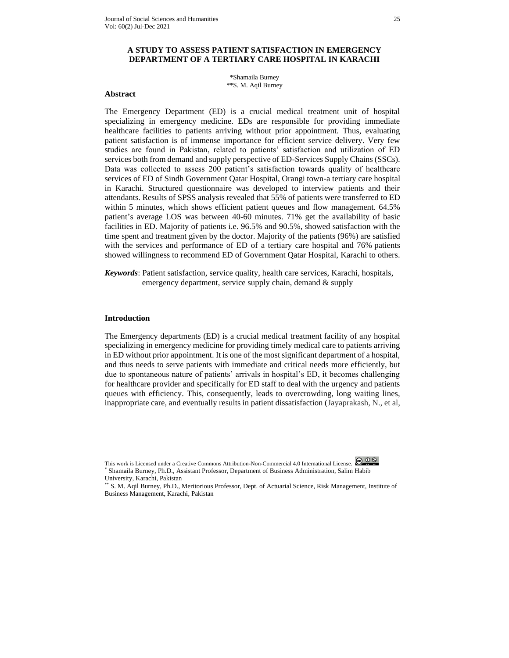## **A STUDY TO ASSESS PATIENT SATISFACTION IN EMERGENCY DEPARTMENT OF A TERTIARY CARE HOSPITAL IN KARACHI**

\*Shamaila Burney \*\*S. M. Aqil Burney

#### **Abstract**

The Emergency Department (ED) is a crucial medical treatment unit of hospital specializing in emergency medicine. EDs are responsible for providing immediate healthcare facilities to patients arriving without prior appointment. Thus, evaluating patient satisfaction is of immense importance for efficient service delivery. Very few studies are found in Pakistan, related to patients' satisfaction and utilization of ED services both from demand and supply perspective of ED-Services Supply Chains (SSCs). Data was collected to assess 200 patient's satisfaction towards quality of healthcare services of ED of Sindh Government Qatar Hospital, Orangi town-a tertiary care hospital in Karachi. Structured questionnaire was developed to interview patients and their attendants. Results of SPSS analysis revealed that 55% of patients were transferred to ED within 5 minutes, which shows efficient patient queues and flow management.  $64.5\%$ patient's average LOS was between 40-60 minutes. 71% get the availability of basic facilities in ED. Majority of patients i.e. 96.5% and 90.5%, showed satisfaction with the time spent and treatment given by the doctor. Majority of the patients (96%) are satisfied with the services and performance of ED of a tertiary care hospital and 76% patients showed willingness to recommend ED of Government Qatar Hospital, Karachi to others.

*Keywords*: Patient satisfaction, service quality, health care services, Karachi, hospitals, emergency department, service supply chain, demand & supply

#### **Introduction**

The Emergency departments (ED) is a crucial medical treatment facility of any hospital specializing in emergency medicine for providing timely medical care to patients arriving in ED without prior appointment. It is one of the most significant department of a hospital, and thus needs to serve patients with immediate and critical needs more efficiently, but due to spontaneous nature of patients' arrivals in hospital's ED, it becomes challenging for healthcare provider and specifically for ED staff to deal with the urgency and patients queues with efficiency. This, consequently, leads to overcrowding, long waiting lines, inappropriate care, and eventually results in patient dissatisfaction (Jayaprakash, N., et al,

This work is Licensed under a Creative Commons Attribution-Non-Commercial 4.0 International License. \* Shamaila Burney, Ph.D., Assistant Professor, Department of Business Administration, Salim Habib University, Karachi, Pakistan

<sup>\*\*</sup> S. M. Aqil Burney, Ph.D., Meritorious Professor, Dept. of Actuarial Science, Risk Management, Institute of Business Management, Karachi, Pakistan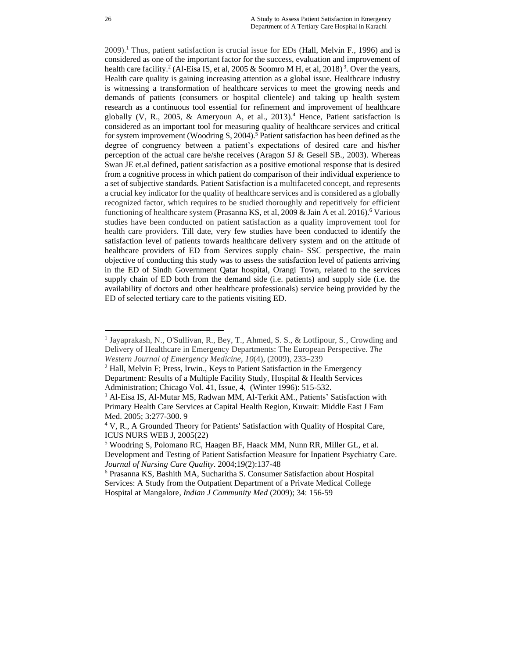2009).<sup>1</sup> Thus, patient satisfaction is crucial issue for EDs [\(Hall, Melvin F.](https://search.proquest.com/indexinglinkhandler/sng/au/Hall,+Melvin+F/$N;jsessionid=59279180076A156016A3291773FCBA5A.i-0535b3b266fa17f28), 1996) and is considered as one of the important factor for the success, evaluation and improvement of health care facility.<sup>2</sup> (Al-Eisa IS, et al, 2005 & Soomro M H, et al, 2018)<sup>3</sup>. Over the years, Health care quality is gaining increasing attention as a global issue. Healthcare industry is witnessing a transformation of healthcare services to meet the growing needs and demands of patients (consumers or hospital clientele) and taking up health system research as a continuous tool essential for refinement and improvement of healthcare globally (V, R., 2005, & Ameryoun A, et al., 2013).<sup>4</sup> Hence, Patient satisfaction is considered as an important tool for measuring quality of healthcare services and critical for system improvement (Woodring S, 2004).<sup>5</sup> Patient satisfaction has been defined as the degree of congruency between a patient's expectations of desired care and his/her perception of the actual care he/she receives (Aragon SJ & Gesell SB., 2003). Whereas Swan JE et.al defined, patient satisfaction as a positive emotional response that is desired from a cognitive process in which patient do comparison of their individual experience to a set of subjective standards. Patient Satisfaction is a multifaceted concept, and represents a crucial key indicator for the quality of healthcare services and is considered as a globally recognized factor, which requires to be studied thoroughly and repetitively for efficient functioning of healthcare system (Prasanna KS, et al, 2009  $&$  Jain A et al. 2016).<sup>6</sup> Various studies have been conducted on patient satisfaction as a quality improvement tool for health care providers. Till date, very few studies have been conducted to identify the satisfaction level of patients towards healthcare delivery system and on the attitude of healthcare providers of ED from Services supply chain- SSC perspective, the main objective of conducting this study was to assess the satisfaction level of patients arriving in the ED of Sindh Government Qatar hospital, Orangi Town, related to the services supply chain of ED both from the demand side (i.e. patients) and supply side (i.e. the availability of doctors and other healthcare professionals) service being provided by the ED of selected tertiary care to the patients visiting ED.

<sup>&</sup>lt;sup>1</sup> Jayaprakash, N., O'Sullivan, R., Bey, T., Ahmed, S. S., & Lotfipour, S., Crowding and Delivery of Healthcare in Emergency Departments: The European Perspective. *The Western Journal of Emergency Medicine*, *10*(4), (2009), 233–239

<sup>2</sup> [Hall, Melvin F;](https://search.proquest.com/indexinglinkhandler/sng/au/Hall,+Melvin+F/$N;jsessionid=59279180076A156016A3291773FCBA5A.i-0535b3b266fa17f28) [Press, Irwin.](https://search.proquest.com/indexinglinkhandler/sng/au/Press,+Irwin/$N;jsessionid=59279180076A156016A3291773FCBA5A.i-0535b3b266fa17f28), Keys to Patient Satisfaction in the Emergency Department: Results of a Multiple Facility Study, [Hospital & Health Services](https://search.proquest.com/pubidlinkhandler/sng/pubtitle/Hospital+$26+Health+Services+Administration/$N/7080/OpenView/206724036/$B/7468D3B0637046FAPQ/1;jsessionid=59279180076A156016A3291773FCBA5A.i-0535b3b266fa17f28)  [Administration;](https://search.proquest.com/pubidlinkhandler/sng/pubtitle/Hospital+$26+Health+Services+Administration/$N/7080/OpenView/206724036/$B/7468D3B0637046FAPQ/1;jsessionid=59279180076A156016A3291773FCBA5A.i-0535b3b266fa17f28) Chicago Vol. 41, [Issue,](https://search.proquest.com/indexingvolumeissuelinkhandler/7080/Hospital+$26+Health+Services+Administration/01996Y01Y01$23Winter+1996$3b++Vol.+41+$284$29/41/4;jsessionid=59279180076A156016A3291773FCBA5A.i-0535b3b266fa17f28) 4, (Winter 1996): 515-532.

<sup>&</sup>lt;sup>3</sup> Al-Eisa IS, Al-Mutar MS, Radwan MM, Al-Terkit AM., Patients' Satisfaction with Primary Health Care Services at Capital Health Region, Kuwait: Middle East J Fam Med. 2005; 3:277-300. 9

<sup>4</sup> V, R., A Grounded Theory for Patients' Satisfaction with Quality of Hospital Care, ICUS NURS WEB J, 2005(22)

<sup>5</sup> Woodring S, Polomano RC, Haagen BF, Haack MM, Nunn RR, Miller GL, et al. Development and Testing of Patient Satisfaction Measure for Inpatient Psychiatry Care. *Journal of Nursing Care Quality*. 2004;19(2):137-48

<sup>6</sup> Prasanna KS, Bashith MA, Sucharitha S. Consumer Satisfaction about Hospital Services: A Study from the Outpatient Department of a Private Medical College Hospital at Mangalore, *Indian J Community Med* (2009); 34: 156-59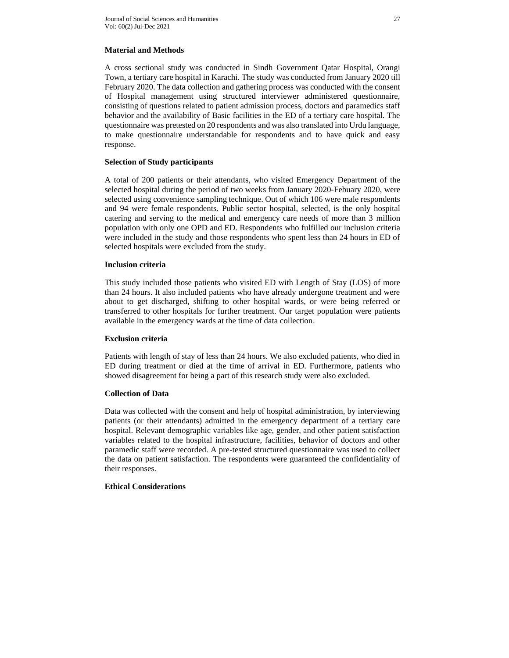## **Material and Methods**

A cross sectional study was conducted in Sindh Government Qatar Hospital, Orangi Town, a tertiary care hospital in Karachi. The study was conducted from January 2020 till February 2020. The data collection and gathering process was conducted with the consent of Hospital management using structured interviewer administered questionnaire, consisting of questions related to patient admission process, doctors and paramedics staff behavior and the availability of Basic facilities in the ED of a tertiary care hospital. The questionnaire was pretested on 20 respondents and was also translated into Urdu language, to make questionnaire understandable for respondents and to have quick and easy response.

## **Selection of Study participants**

A total of 200 patients or their attendants, who visited Emergency Department of the selected hospital during the period of two weeks from January 2020-Febuary 2020, were selected using convenience sampling technique. Out of which 106 were male respondents and 94 were female respondents. Public sector hospital, selected, is the only hospital catering and serving to the medical and emergency care needs of more than 3 million population with only one OPD and ED. Respondents who fulfilled our inclusion criteria were included in the study and those respondents who spent less than 24 hours in ED of selected hospitals were excluded from the study.

## **Inclusion criteria**

This study included those patients who visited ED with Length of Stay (LOS) of more than 24 hours. It also included patients who have already undergone treatment and were about to get discharged, shifting to other hospital wards, or were being referred or transferred to other hospitals for further treatment. Our target population were patients available in the emergency wards at the time of data collection.

## **Exclusion criteria**

Patients with length of stay of less than 24 hours. We also excluded patients, who died in ED during treatment or died at the time of arrival in ED. Furthermore, patients who showed disagreement for being a part of this research study were also excluded.

# **Collection of Data**

Data was collected with the consent and help of hospital administration, by interviewing patients (or their attendants) admitted in the emergency department of a tertiary care hospital. Relevant demographic variables like age, gender, and other patient satisfaction variables related to the hospital infrastructure, facilities, behavior of doctors and other paramedic staff were recorded. A pre-tested structured questionnaire was used to collect the data on patient satisfaction. The respondents were guaranteed the confidentiality of their responses.

# **Ethical Considerations**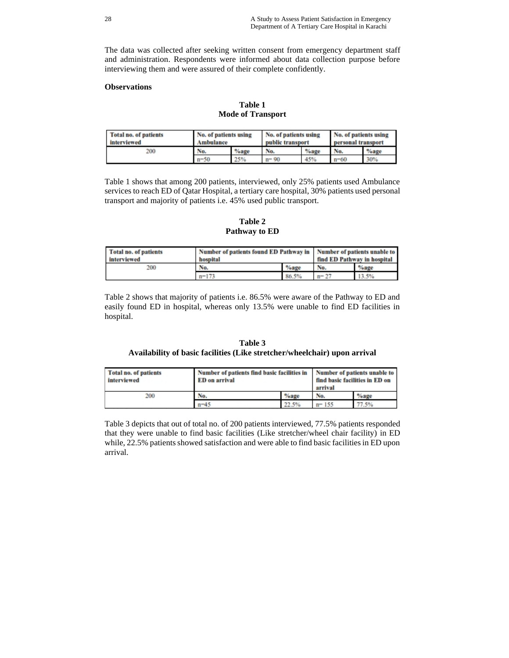The data was collected after seeking written consent from emergency department staff and administration. Respondents were informed about data collection purpose before interviewing them and were assured of their complete confidently.

## **Observations**

**Table 1 Mode of Transport** 

| <b>Total no. of patients</b><br>interviewed | No. of patients using<br>Ambulance |         | No. of patients using<br>public transport |         | No. of patients using<br>personal transport |         |
|---------------------------------------------|------------------------------------|---------|-------------------------------------------|---------|---------------------------------------------|---------|
| 200                                         | No.                                | $%$ age | No.                                       | $%$ age | No.                                         | $%$ age |
|                                             | $n - 50$                           | 25%     | $n = 90$                                  | 45%     | $n = 60$                                    | 30%     |

Table 1 shows that among 200 patients, interviewed, only 25% patients used Ambulance services to reach ED of Qatar Hospital, a tertiary care hospital, 30% patients used personal transport and majority of patients i.e. 45% used public transport.

**Table 2 Pathway to ED**

| Total no. of patients<br>interviewed | Number of patients found ED Pathway in   Number of patients unable to<br>hospital | find ED Pathway in hospital |          |         |
|--------------------------------------|-----------------------------------------------------------------------------------|-----------------------------|----------|---------|
| 200                                  | No.                                                                               | $%$ age                     | No.      | $%$ age |
|                                      | $n = 173$                                                                         | 86.5%                       | $n = 27$ | 13.5%   |

Table 2 shows that majority of patients i.e. 86.5% were aware of the Pathway to ED and easily found ED in hospital, whereas only 13.5% were unable to find ED facilities in hospital.

## **Table 3 Availability of basic facilities (Like stretcher/wheelchair) upon arrival**

| Total no. of patients<br>interviewed | Number of patients find basic facilities in<br>Number of patients unable to<br>find basic facilities in ED on<br><b>ED</b> on arrival<br>arrival |         |           |         |
|--------------------------------------|--------------------------------------------------------------------------------------------------------------------------------------------------|---------|-----------|---------|
| 200                                  | No.                                                                                                                                              | $%$ age | No.       | $%$ age |
|                                      | $n - 45$                                                                                                                                         | 22.5%   | $n = 155$ | 77.5%   |

Table 3 depicts that out of total no. of 200 patients interviewed, 77.5% patients responded that they were unable to find basic facilities (Like stretcher/wheel chair facility) in ED while, 22.5% patients showed satisfaction and were able to find basic facilities in ED upon arrival.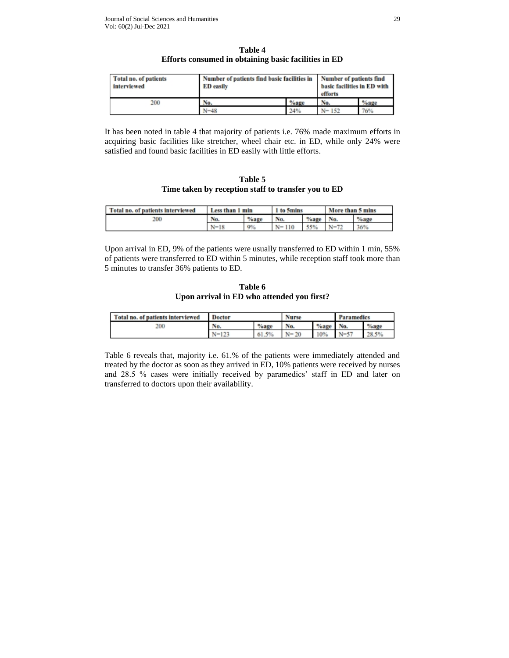| Table 4 |                                                      |  |  |  |  |  |  |
|---------|------------------------------------------------------|--|--|--|--|--|--|
|         | Efforts consumed in obtaining basic facilities in ED |  |  |  |  |  |  |

| Total no. of patients<br>interviewed | Number of patients find basic facilities in Number of patients find<br><b>ED</b> easily | basic facilities in ED with |           |         |
|--------------------------------------|-----------------------------------------------------------------------------------------|-----------------------------|-----------|---------|
| 200                                  | No.                                                                                     | $%$ age                     | No.       | $%$ age |
|                                      | $N - 48$                                                                                | 24%                         | $N = 152$ | 76%     |

It has been noted in table 4 that majority of patients i.e. 76% made maximum efforts in acquiring basic facilities like stretcher, wheel chair etc. in ED, while only 24% were satisfied and found basic facilities in ED easily with little efforts.

**Table 5 Time taken by reception staff to transfer you to ED**

| Total no. of patients interviewed | Less than 1 min |         | 1 to 5mins  |         | More than 5 mins |         |
|-----------------------------------|-----------------|---------|-------------|---------|------------------|---------|
| 200                               | No.             | $%$ age | No.         | $%$ age | No.              | $%$ age |
|                                   | $N=18$          | $9\%$   | 110<br>$N-$ | 550     | $N=72$           | 36%     |

Upon arrival in ED, 9% of the patients were usually transferred to ED within 1 min, 55% of patients were transferred to ED within 5 minutes, while reception staff took more than 5 minutes to transfer 36% patients to ED.

**Table 6 Upon arrival in ED who attended you first?**

| Total no. of patients interviewed | <b>Doctor</b> |         | <b>Nurse</b>  |         | <b>Paramedics</b> |       |
|-----------------------------------|---------------|---------|---------------|---------|-------------------|-------|
| 200                               | No.           | $%$ age | No.           | $%$ age | N <sub>0</sub>    | %age  |
|                                   | $N=123$       | 61.5%   | $N = 20$<br>∸ | 10%     | $N=57$<br>◡       | 28.5% |

Table 6 reveals that, majority i.e. 61.% of the patients were immediately attended and treated by the doctor as soon as they arrived in ED, 10% patients were received by nurses and 28.5 % cases were initially received by paramedics' staff in ED and later on transferred to doctors upon their availability.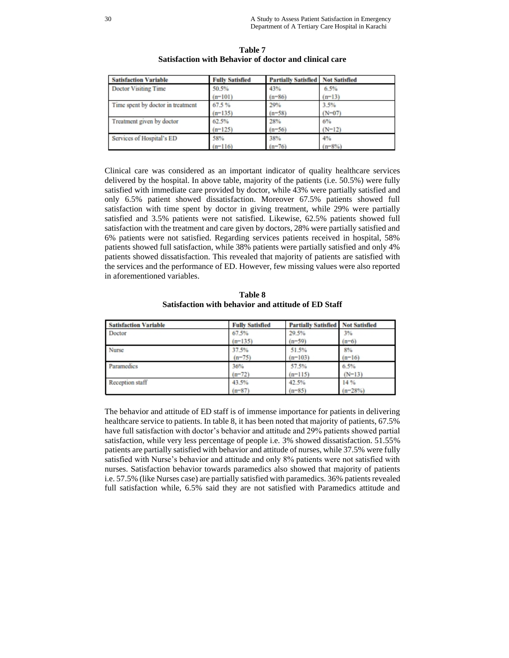| <b>Satisfaction Variable</b>      | <b>Fully Satisfied</b> | <b>Partially Satisfied Not Satisfied</b> |           |
|-----------------------------------|------------------------|------------------------------------------|-----------|
| Doctor Visiting Time              | 50.5%                  | 43%                                      | 6.5%      |
|                                   | $(n-101)$              | $(n-86)$                                 | $(n-13)$  |
| Time spent by doctor in treatment | 67.5%                  | 29%                                      | 3.5%      |
|                                   | $(n-135)$              | $(n-58)$                                 | $(N-07)$  |
| Treatment given by doctor         | 62.5%                  | 28%                                      | $6\%$     |
|                                   | $(n-125)$              | $(n-56)$                                 | $(N-12)$  |
| Services of Hospital's ED         | 58%                    | 38%                                      | 4%        |
|                                   | $(n-116)$              | $(n-76)$                                 | $(n-8\%)$ |

**Table 7 Satisfaction with Behavior of doctor and clinical care** 

Clinical care was considered as an important indicator of quality healthcare services delivered by the hospital. In above table, majority of the patients (i.e. 50.5%) were fully satisfied with immediate care provided by doctor, while 43% were partially satisfied and only 6.5% patient showed dissatisfaction. Moreover 67.5% patients showed full satisfaction with time spent by doctor in giving treatment, while 29% were partially satisfied and 3.5% patients were not satisfied. Likewise, 62.5% patients showed full satisfaction with the treatment and care given by doctors, 28% were partially satisfied and 6% patients were not satisfied. Regarding services patients received in hospital, 58% patients showed full satisfaction, while 38% patients were partially satisfied and only 4% patients showed dissatisfaction. This revealed that majority of patients are satisfied with the services and the performance of ED. However, few missing values were also reported in aforementioned variables.

| Table 8                                             |
|-----------------------------------------------------|
| Satisfaction with behavior and attitude of ED Staff |

| <b>Satisfaction Variable</b> | <b>Fully Satisfied</b> | <b>Partially Satisfied Not Satisfied</b> |           |
|------------------------------|------------------------|------------------------------------------|-----------|
| Doctor                       | 67.5%                  | 29.5%                                    | 3%        |
|                              | $(n-135)$              | $(n-59)$                                 | $(n-6)$   |
| Nurse                        | 37.5%                  | 51.5%                                    | 8%        |
|                              | $(n-75)$               | $(n=103)$                                | $(n-16)$  |
| Paramedics                   | 36%                    | 57.5%                                    | 6.5%      |
|                              | $(n-72)$               | $(n-115)$                                | $(N-13)$  |
| Reception staff              | 43.5%                  | 42.5%                                    | 14 %      |
|                              | $(n-87)$               | $(n-85)$                                 | $(n-28%)$ |

The behavior and attitude of ED staff is of immense importance for patients in delivering healthcare service to patients. In table 8, it has been noted that majority of patients, 67.5% have full satisfaction with doctor's behavior and attitude and 29% patients showed partial satisfaction, while very less percentage of people i.e. 3% showed dissatisfaction. 51.55% patients are partially satisfied with behavior and attitude of nurses, while 37.5% were fully satisfied with Nurse's behavior and attitude and only 8% patients were not satisfied with nurses. Satisfaction behavior towards paramedics also showed that majority of patients i.e. 57.5% (like Nurses case) are partially satisfied with paramedics. 36% patients revealed full satisfaction while, 6.5% said they are not satisfied with Paramedics attitude and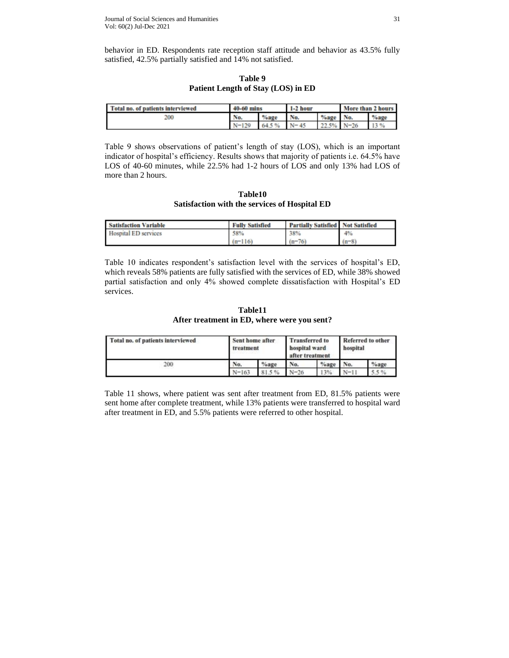behavior in ED. Respondents rate reception staff attitude and behavior as 43.5% fully satisfied, 42.5% partially satisfied and 14% not satisfied.

| Table 9                            |  |  |  |  |  |
|------------------------------------|--|--|--|--|--|
| Patient Length of Stay (LOS) in ED |  |  |  |  |  |

| Total no. of patients interviewed | 40-60 mins |                | $1-2$ hour |            | More than 2 hours |         |
|-----------------------------------|------------|----------------|------------|------------|-------------------|---------|
| 200                               | No.        | $^{\circ}$ age | No.        | %age No.   |                   | $%$ age |
|                                   | $N-129$    | 64.5%          | $N - 45$   | 22.5% N-26 |                   | 13 %    |

Table 9 shows observations of patient's length of stay (LOS), which is an important indicator of hospital's efficiency. Results shows that majority of patients i.e. 64.5% have LOS of 40-60 minutes, while 22.5% had 1-2 hours of LOS and only 13% had LOS of more than 2 hours.

**Table10 Satisfaction with the services of Hospital ED**

| <b>Satisfaction Variable</b> | <b>Fully Satisfied</b> | <b>Partially Satisfied Not Satisfied</b> |         |
|------------------------------|------------------------|------------------------------------------|---------|
| <b>Hospital ED services</b>  | 58%                    | 38%                                      | 4%      |
|                              | $(n=116)$              | $(n-76)$                                 | $(n-8)$ |

Table 10 indicates respondent's satisfaction level with the services of hospital's ED, which reveals 58% patients are fully satisfied with the services of ED, while 38% showed partial satisfaction and only 4% showed complete dissatisfaction with Hospital's ED services.

**Table11 After treatment in ED, where were you sent?**

| Total no. of patients interviewed | Sent home after<br>treatment<br>----- |         | <b>Transferred</b> to<br>hospital ward<br>after treatment |         | Referred to other<br>hospital |         |
|-----------------------------------|---------------------------------------|---------|-----------------------------------------------------------|---------|-------------------------------|---------|
| 200                               | No.                                   | $%$ age | No.                                                       | $%$ age | No.                           | $%$ age |
|                                   | $N = 163$                             | 81.5%   | $N = 26$                                                  | 13%     | $N=11$                        |         |

Table 11 shows, where patient was sent after treatment from ED, 81.5% patients were sent home after complete treatment, while 13% patients were transferred to hospital ward after treatment in ED, and 5.5% patients were referred to other hospital.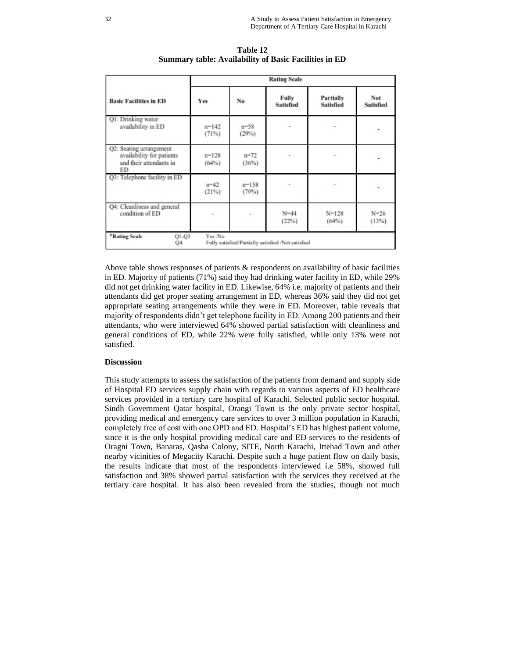|                                                                                                        | <b>Rating Scale</b> |                   |                           |                                      |                         |  |  |
|--------------------------------------------------------------------------------------------------------|---------------------|-------------------|---------------------------|--------------------------------------|-------------------------|--|--|
| <b>Basic Facilities in ED</b>                                                                          | Yes                 | No                | Fully<br><b>Satisfied</b> | <b>Partially</b><br><b>Satisfied</b> | Not<br><b>Satisfied</b> |  |  |
| Q1: Drinking water<br>availability in ED                                                               | $n=142$<br>(71%)    | $n - 58$<br>(29%) |                           |                                      |                         |  |  |
| Q2: Seating arrangement<br>availability for patients<br>and their attendants in<br>ED                  | $n = 128$<br>(64%)  | $n = 72$<br>(36%) |                           |                                      |                         |  |  |
| Q3: Telephone facility in ED                                                                           | $n = 42$<br>(21%)   | $n=158$<br>(79%)  |                           |                                      |                         |  |  |
| Q4: Cleanliness and general<br>condition of ED                                                         |                     |                   | $N = 44$<br>$(22\%)$      | $N = 128$<br>(64%)                   | $N = 26$<br>(13%)       |  |  |
| *Rating Scale<br>Yes /No<br>$Q1-Q3$<br>Fully satisfied/Partially satisfied /Not satisfied<br><b>Q4</b> |                     |                   |                           |                                      |                         |  |  |

**Table 12 Summary table: Availability of Basic Facilities in ED** 

Above table shows responses of patients  $\&$  respondents on availability of basic facilities in ED. Majority of patients (71%) said they had drinking water facility in ED, while 29% did not get drinking water facility in ED. Likewise, 64% i.e. majority of patients and their attendants did get proper seating arrangement in ED, whereas 36% said they did not get appropriate seating arrangements while they were in ED. Moreover, table reveals that majority of respondents didn't get telephone facility in ED. Among 200 patients and their attendants, who were interviewed 64% showed partial satisfaction with cleanliness and general conditions of ED, while 22% were fully satisfied, while only 13% were not satisfied.

### **Discussion**

This study attempts to assess the satisfaction of the patients from demand and supply side of Hospital ED services supply chain with regards to various aspects of ED healthcare services provided in a tertiary care hospital of Karachi. Selected public sector hospital. Sindh Government Qatar hospital, Orangi Town is the only private sector hospital, providing medical and emergency care services to over 3 million population in Karachi, completely free of cost with one OPD and ED. Hospital's ED has highest patient volume, since it is the only hospital providing medical care and ED services to the residents of Oragni Town, Banaras, Qasba Colony, SITE, North Karachi, Ittehad Town and other nearby vicinities of Megacity Karachi. Despite such a huge patient flow on daily basis, the results indicate that most of the respondents interviewed i.e 58%, showed full satisfaction and 38% showed partial satisfaction with the services they received at the tertiary care hospital. It has also been revealed from the studies, though not much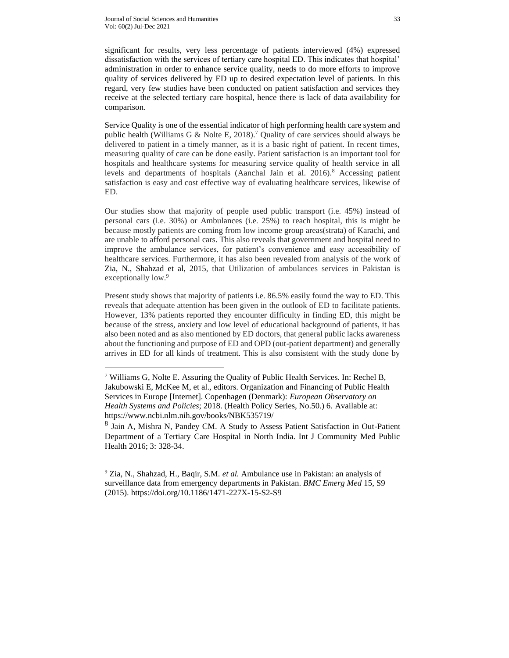significant for results, very less percentage of patients interviewed (4%) expressed dissatisfaction with the services of tertiary care hospital ED. This indicates that hospital' administration in order to enhance service quality, needs to do more efforts to improve quality of services delivered by ED up to desired expectation level of patients. In this regard, very few studies have been conducted on patient satisfaction and services they receive at the selected tertiary care hospital, hence there is lack of data availability for comparison.

Service Quality is one of the essential indicator of high performing health care system and public health (Williams G & Nolte E, 2018).<sup>7</sup> Quality of care services should always be delivered to patient in a timely manner, as it is a basic right of patient. In recent times, measuring quality of care can be done easily. Patient satisfaction is an important tool for hospitals and healthcare systems for measuring service quality of health service in all levels and departments of hospitals (Aanchal Jain et al.  $2016$ ).<sup>8</sup> Accessing patient satisfaction is easy and cost effective way of evaluating healthcare services, likewise of ED.

Our studies show that majority of people used public transport (i.e. 45%) instead of personal cars (i.e. 30%) or Ambulances (i.e. 25%) to reach hospital, this is might be because mostly patients are coming from low income group areas(strata) of Karachi, and are unable to afford personal cars. This also reveals that government and hospital need to improve the ambulance services, for patient's convenience and easy accessibility of healthcare services. Furthermore, it has also been revealed from analysis of the work of Zia, N., Shahzad et al, 2015, that Utilization of ambulances services in Pakistan is exceptionally low.<sup>9</sup>

Present study shows that majority of patients i.e. 86.5% easily found the way to ED. This reveals that adequate attention has been given in the outlook of ED to facilitate patients. However, 13% patients reported they encounter difficulty in finding ED, this might be because of the stress, anxiety and low level of educational background of patients, it has also been noted and as also mentioned by ED doctors, that general public lacks awareness about the functioning and purpose of ED and OPD (out-patient department) and generally arrives in ED for all kinds of treatment. This is also consistent with the study done by

<sup>7</sup> Williams G, Nolte E. Assuring the Quality of Public Health Services. In: Rechel B, Jakubowski E, McKee M, et al., editors. Organization and Financing of Public Health Services in Europe [Internet]. Copenhagen (Denmark): *European Observatory on Health Systems and Policies*; 2018. (Health Policy Series, No.50.) 6. Available at: <https://www.ncbi.nlm.nih.gov/books/NBK535719/>

<sup>&</sup>lt;sup>8</sup> Jain A, Mishra N, Pandey CM. A Study to Assess Patient Satisfaction in Out-Patient Department of a Tertiary Care Hospital in North India. Int J Community Med Public Health 2016; 3: 328-34.

<sup>9</sup> Zia, N., Shahzad, H., Baqir, S.M. *et al.* Ambulance use in Pakistan: an analysis of surveillance data from emergency departments in Pakistan. *BMC Emerg Med* 15, S9 (2015). https://doi.org/10.1186/1471-227X-15-S2-S9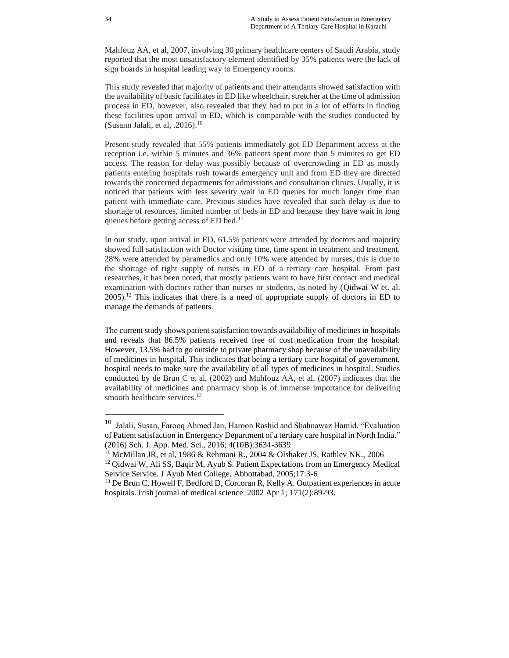Mahfouz AA, et al, 2007, involving 30 primary healthcare centers of Saudi Arabia, study reported that the most unsatisfactory element identified by 35% patients were the lack of sign boards in hospital leading way to Emergency rooms.

This study revealed that majority of patients and their attendants showed satisfaction with the availability of basic facilitates in ED like wheelchair, stretcher at the time of admission process in ED, however, also revealed that they had to put in a lot of efforts in finding these facilities upon arrival in ED, which is comparable with the studies conducted by (Susann Jalali, et al,  $.2016$ ).<sup>10</sup>

Present study revealed that 55% patients immediately got ED Department access at the reception i.e. within 5 minutes and 36% patients spent more than 5 minutes to get ED access. The reason for delay was possibly because of overcrowding in ED as mostly patients entering hospitals rush towards emergency unit and from ED they are directed towards the concerned departments for admissions and consultation clinics. Usually, it is noticed that patients with less severity wait in ED queues for much longer time than patient with immediate care. Previous studies have revealed that such delay is due to shortage of resources, limited number of beds in ED and because they have wait in long queues before getting access of ED bed.<sup>11</sup>

In our study, upon arrival in ED, 61.5% patients were attended by doctors and majority showed full satisfaction with Doctor visiting time, time spent in treatment and treatment. 28% were attended by paramedics and only 10% were attended by nurses, this is due to the shortage of right supply of nurses in ED of a tertiary care hospital. From past researches, it has been noted, that mostly patients want to have first contact and medical examination with doctors rather than nurses or students, as noted by (Qidwai W et. al.  $2005$ .<sup>12</sup> This indicates that there is a need of appropriate supply of doctors in ED to manage the demands of patients.

The current study shows patient satisfaction towards availability of medicines in hospitals and reveals that 86.5% patients received free of cost medication from the hospital. However, 13.5% had to go outside to private pharmacy shop because of the unavailability of medicines in hospital. This indicates that being a tertiary care hospital of government, hospital needs to make sure the availability of all types of medicines in hospital. Studies conducted by de Brun C et al, (2002) and Mahfouz AA, et al, (2007) indicates that the availability of medicines and pharmacy shop is of immense importance for delivering smooth healthcare services.<sup>13</sup>

<sup>10</sup> Jalali, Susan, Farooq Ahmed Jan, Haroon Rashid and Shahnawaz Hamid. "Evaluation of Patient satisfaction in Emergency Department of a tertiary care hospital in North India." (2016) Sch. J. App. Med. Sci., 2016; 4(10B):3634-3639

<sup>&</sup>lt;sup>11</sup> McMillan JR, et al, 1986 & Rehmani R., 2004 & [Olshaker JS,](https://www.ncbi.nlm.nih.gov/pubmed/?term=Olshaker%20JS%5BAuthor%5D&cauthor=true&cauthor_uid=16677993) [Rathlev NK.,](https://www.ncbi.nlm.nih.gov/pubmed/?term=Rathlev%20NK%5BAuthor%5D&cauthor=true&cauthor_uid=16677993) 2006

<sup>12</sup> Qidwai W, Ali SS, Baqir M, Ayub S. Patient Expectations from an Emergency Medical Service Service. J Ayub Med College, Abbottabad, 2005;17:3-6

 $<sup>13</sup>$  De Brun C, Howell F, Bedford D, Corcoran R, Kelly A. Outpatient experiences in acute</sup> hospitals. Irish journal of medical science. 2002 Apr 1; 171(2):89-93.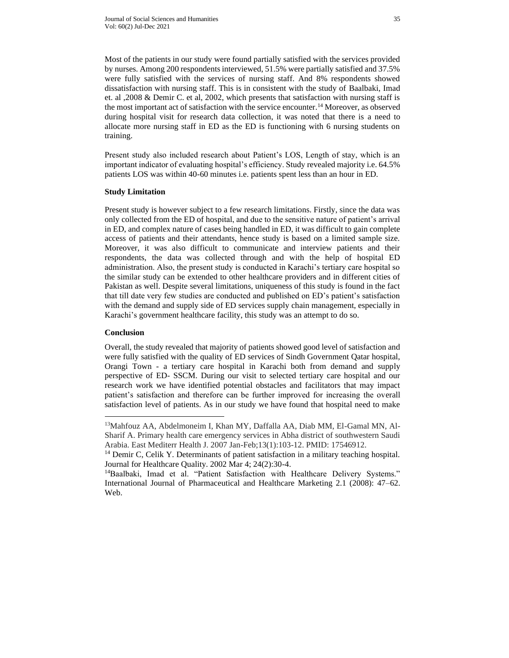Most of the patients in our study were found partially satisfied with the services provided by nurses. Among 200 respondents interviewed, 51.5% were partially satisfied and 37.5% were fully satisfied with the services of nursing staff. And 8% respondents showed dissatisfaction with nursing staff. This is in consistent with the study of Baalbaki, Imad et. al ,2008 & Demir C. et al, 2002, which presents that satisfaction with nursing staff is the most important act of satisfaction with the service encounter.<sup>14</sup> Moreover, as observed during hospital visit for research data collection, it was noted that there is a need to allocate more nursing staff in ED as the ED is functioning with 6 nursing students on training.

Present study also included research about Patient's LOS, Length of stay, which is an important indicator of evaluating hospital's efficiency. Study revealed majority i.e. 64.5% patients LOS was within 40-60 minutes i.e. patients spent less than an hour in ED.

### **Study Limitation**

Present study is however subject to a few research limitations. Firstly, since the data was only collected from the ED of hospital, and due to the sensitive nature of patient's arrival in ED, and complex nature of cases being handled in ED, it was difficult to gain complete access of patients and their attendants, hence study is based on a limited sample size. Moreover, it was also difficult to communicate and interview patients and their respondents, the data was collected through and with the help of hospital ED administration. Also, the present study is conducted in Karachi's tertiary care hospital so the similar study can be extended to other healthcare providers and in different cities of Pakistan as well. Despite several limitations, uniqueness of this study is found in the fact that till date very few studies are conducted and published on ED's patient's satisfaction with the demand and supply side of ED services supply chain management, especially in Karachi's government healthcare facility, this study was an attempt to do so.

### **Conclusion**

Overall, the study revealed that majority of patients showed good level of satisfaction and were fully satisfied with the quality of ED services of Sindh Government Qatar hospital, Orangi Town - a tertiary care hospital in Karachi both from demand and supply perspective of ED- SSCM. During our visit to selected tertiary care hospital and our research work we have identified potential obstacles and facilitators that may impact patient's satisfaction and therefore can be further improved for increasing the overall satisfaction level of patients. As in our study we have found that hospital need to make

<sup>13</sup>Mahfouz AA, Abdelmoneim I, Khan MY, Daffalla AA, Diab MM, El-Gamal MN, Al-Sharif A. Primary health care emergency services in Abha district of southwestern Saudi Arabia. East Mediterr Health J. 2007 Jan-Feb;13(1):103-12. PMID: 17546912.

<sup>&</sup>lt;sup>14</sup> Demir C, Celik Y. Determinants of patient satisfaction in a military teaching hospital. Journal for Healthcare Quality. 2002 Mar 4; 24(2):30-4.

<sup>&</sup>lt;sup>14</sup>Baalbaki, Imad et al. "Patient Satisfaction with Healthcare Delivery Systems." International Journal of Pharmaceutical and Healthcare Marketing 2.1 (2008): 47–62. Web.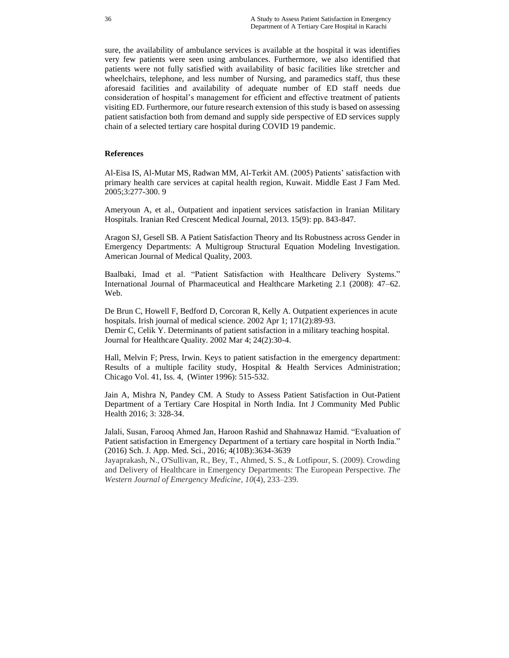sure, the availability of ambulance services is available at the hospital it was identifies very few patients were seen using ambulances. Furthermore, we also identified that patients were not fully satisfied with availability of basic facilities like stretcher and wheelchairs, telephone, and less number of Nursing, and paramedics staff, thus these aforesaid facilities and availability of adequate number of ED staff needs due consideration of hospital's management for efficient and effective treatment of patients visiting ED. Furthermore, our future research extension of this study is based on assessing patient satisfaction both from demand and supply side perspective of ED services supply chain of a selected tertiary care hospital during COVID 19 pandemic.

### **References**

Al-Eisa IS, Al-Mutar MS, Radwan MM, Al-Terkit AM. (2005) Patients' satisfaction with primary health care services at capital health region, Kuwait. Middle East J Fam Med. 2005;3:277-300. 9

Ameryoun A, et al., Outpatient and inpatient services satisfaction in Iranian Military Hospitals. Iranian Red Crescent Medical Journal, 2013. 15(9): pp. 843-847.

Aragon SJ, Gesell SB. A Patient Satisfaction Theory and Its Robustness across Gender in Emergency Departments: A Multigroup Structural Equation Modeling Investigation. American Journal of Medical Quality, 2003.

Baalbaki, Imad et al. "Patient Satisfaction with Healthcare Delivery Systems." International Journal of Pharmaceutical and Healthcare Marketing 2.1 (2008): 47–62. Web.

De Brun C, Howell F, Bedford D, Corcoran R, Kelly A. Outpatient experiences in acute hospitals. Irish journal of medical science. 2002 Apr 1; 171(2):89-93. Demir C, Celik Y. Determinants of patient satisfaction in a military teaching hospital. Journal for Healthcare Quality. 2002 Mar 4; 24(2):30-4.

[Hall, Melvin F;](https://search.proquest.com/indexinglinkhandler/sng/au/Hall,+Melvin+F/$N;jsessionid=59279180076A156016A3291773FCBA5A.i-0535b3b266fa17f28) [Press, Irwin.](https://search.proquest.com/indexinglinkhandler/sng/au/Press,+Irwin/$N;jsessionid=59279180076A156016A3291773FCBA5A.i-0535b3b266fa17f28) Keys to patient satisfaction in the emergency department: Results of a multiple facility study, [Hospital & Health Services Administration;](https://search.proquest.com/pubidlinkhandler/sng/pubtitle/Hospital+$26+Health+Services+Administration/$N/7080/OpenView/206724036/$B/7468D3B0637046FAPQ/1;jsessionid=59279180076A156016A3291773FCBA5A.i-0535b3b266fa17f28) Chicago [Vol.](https://search.proquest.com/indexingvolumeissuelinkhandler/7080/Hospital+$26+Health+Services+Administration/01996Y01Y01$23Winter+1996$3b++Vol.+41+$284$29/41/4;jsessionid=59279180076A156016A3291773FCBA5A.i-0535b3b266fa17f28) 41, Iss. 4, (Winter 1996): 515-532.

Jain A, Mishra N, Pandey CM. A Study to Assess Patient Satisfaction in Out-Patient Department of a Tertiary Care Hospital in North India. Int J Community Med Public Health 2016; 3: 328-34.

Jalali, Susan, Farooq Ahmed Jan, Haroon Rashid and Shahnawaz Hamid. "Evaluation of Patient satisfaction in Emergency Department of a tertiary care hospital in North India." (2016) Sch. J. App. Med. Sci., 2016; 4(10B):3634-3639

Jayaprakash, N., O'Sullivan, R., Bey, T., Ahmed, S. S., & Lotfipour, S. (2009). Crowding and Delivery of Healthcare in Emergency Departments: The European Perspective. *The Western Journal of Emergency Medicine*, *10*(4), 233–239.